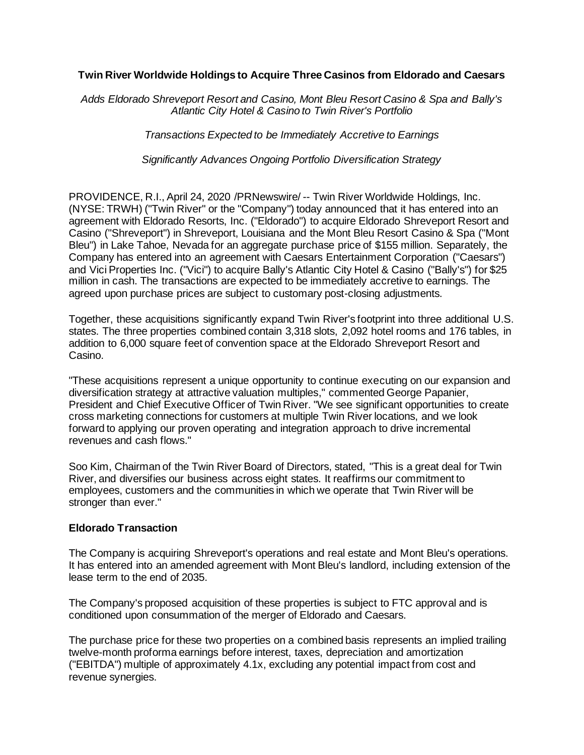### **Twin River Worldwide Holdings to Acquire Three Casinos from Eldorado and Caesars**

*Adds Eldorado Shreveport Resort and Casino, Mont Bleu Resort Casino & Spa and Bally's Atlantic City Hotel & Casino to Twin River's Portfolio*

*Transactions Expected to be Immediately Accretive to Earnings*

*Significantly Advances Ongoing Portfolio Diversification Strategy*

PROVIDENCE, R.I., April 24, 2020 /PRNewswire/ -- Twin River Worldwide Holdings, Inc. (NYSE: TRWH) ("Twin River" or the "Company") today announced that it has entered into an agreement with Eldorado Resorts, Inc. ("Eldorado") to acquire Eldorado Shreveport Resort and Casino ("Shreveport") in Shreveport, Louisiana and the Mont Bleu Resort Casino & Spa ("Mont Bleu") in Lake Tahoe, Nevada for an aggregate purchase price of \$155 million. Separately, the Company has entered into an agreement with Caesars Entertainment Corporation ("Caesars") and Vici Properties Inc. ("Vici") to acquire Bally's Atlantic City Hotel & Casino ("Bally's") for \$25 million in cash. The transactions are expected to be immediately accretive to earnings. The agreed upon purchase prices are subject to customary post-closing adjustments.

Together, these acquisitions significantly expand Twin River's footprint into three additional U.S. states. The three properties combined contain 3,318 slots, 2,092 hotel rooms and 176 tables, in addition to 6,000 square feet of convention space at the Eldorado Shreveport Resort and Casino.

"These acquisitions represent a unique opportunity to continue executing on our expansion and diversification strategy at attractive valuation multiples," commented George Papanier, President and Chief Executive Officer of Twin River. "We see significant opportunities to create cross marketing connections for customers at multiple Twin River locations, and we look forward to applying our proven operating and integration approach to drive incremental revenues and cash flows."

Soo Kim, Chairman of the Twin River Board of Directors, stated, "This is a great deal for Twin River, and diversifies our business across eight states. It reaffirms our commitment to employees, customers and the communities in which we operate that Twin River will be stronger than ever."

#### **Eldorado Transaction**

The Company is acquiring Shreveport's operations and real estate and Mont Bleu's operations. It has entered into an amended agreement with Mont Bleu's landlord, including extension of the lease term to the end of 2035.

The Company's proposed acquisition of these properties is subject to FTC approval and is conditioned upon consummation of the merger of Eldorado and Caesars.

The purchase price for these two properties on a combined basis represents an implied trailing twelve-month proforma earnings before interest, taxes, depreciation and amortization ("EBITDA") multiple of approximately 4.1x, excluding any potential impact from cost and revenue synergies.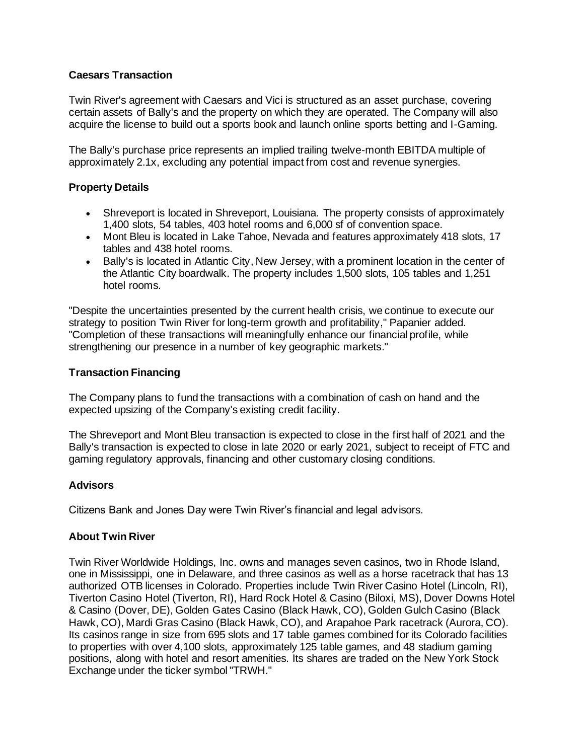## **Caesars Transaction**

Twin River's agreement with Caesars and Vici is structured as an asset purchase, covering certain assets of Bally's and the property on which they are operated. The Company will also acquire the license to build out a sports book and launch online sports betting and I-Gaming.

The Bally's purchase price represents an implied trailing twelve-month EBITDA multiple of approximately 2.1x, excluding any potential impact from cost and revenue synergies.

## **Property Details**

- Shreveport is located in Shreveport, Louisiana. The property consists of approximately 1,400 slots, 54 tables, 403 hotel rooms and 6,000 sf of convention space.
- Mont Bleu is located in Lake Tahoe, Nevada and features approximately 418 slots, 17 tables and 438 hotel rooms.
- Bally's is located in Atlantic City, New Jersey, with a prominent location in the center of the Atlantic City boardwalk. The property includes 1,500 slots, 105 tables and 1,251 hotel rooms.

"Despite the uncertainties presented by the current health crisis, we continue to execute our strategy to position Twin River for long-term growth and profitability," Papanier added. "Completion of these transactions will meaningfully enhance our financial profile, while strengthening our presence in a number of key geographic markets."

### **Transaction Financing**

The Company plans to fund the transactions with a combination of cash on hand and the expected upsizing of the Company's existing credit facility.

The Shreveport and Mont Bleu transaction is expected to close in the first half of 2021 and the Bally's transaction is expected to close in late 2020 or early 2021, subject to receipt of FTC and gaming regulatory approvals, financing and other customary closing conditions.

### **Advisors**

Citizens Bank and Jones Day were Twin River's financial and legal advisors.

### **About Twin River**

Twin River Worldwide Holdings, Inc. owns and manages seven casinos, two in Rhode Island, one in Mississippi, one in Delaware, and three casinos as well as a horse racetrack that has 13 authorized OTB licenses in Colorado. Properties include Twin River Casino Hotel (Lincoln, RI), Tiverton Casino Hotel (Tiverton, RI), Hard Rock Hotel & Casino (Biloxi, MS), Dover Downs Hotel & Casino (Dover, DE), Golden Gates Casino (Black Hawk, CO), Golden Gulch Casino (Black Hawk, CO), Mardi Gras Casino (Black Hawk, CO), and Arapahoe Park racetrack (Aurora, CO). Its casinos range in size from 695 slots and 17 table games combined for its Colorado facilities to properties with over 4,100 slots, approximately 125 table games, and 48 stadium gaming positions, along with hotel and resort amenities. Its shares are traded on the New York Stock Exchange under the ticker symbol "TRWH."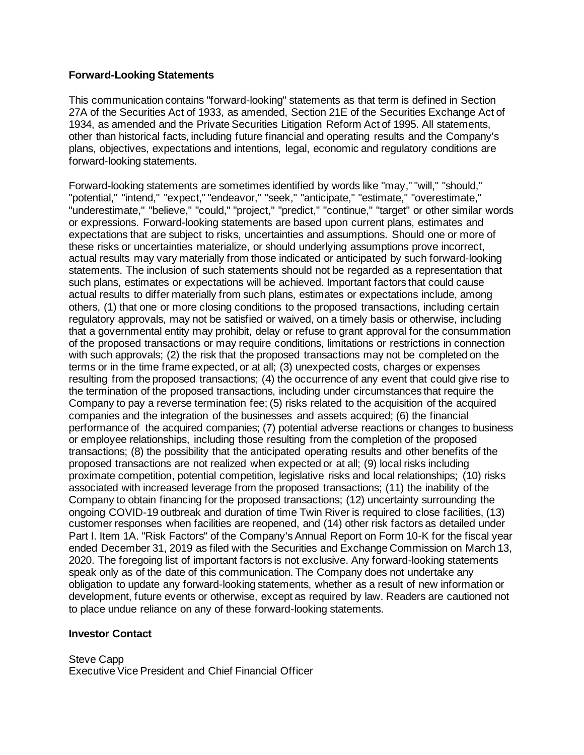#### **Forward-Looking Statements**

This communication contains "forward-looking" statements as that term is defined in Section 27A of the Securities Act of 1933, as amended, Section 21E of the Securities Exchange Act of 1934, as amended and the Private Securities Litigation Reform Act of 1995. All statements, other than historical facts, including future financial and operating results and the Company's plans, objectives, expectations and intentions, legal, economic and regulatory conditions are forward-looking statements.

Forward-looking statements are sometimes identified by words like "may," "will," "should," "potential," "intend," "expect," "endeavor," "seek," "anticipate," "estimate," "overestimate," "underestimate," "believe," "could," "project," "predict," "continue," "target" or other similar words or expressions. Forward-looking statements are based upon current plans, estimates and expectations that are subject to risks, uncertainties and assumptions. Should one or more of these risks or uncertainties materialize, or should underlying assumptions prove incorrect, actual results may vary materially from those indicated or anticipated by such forward-looking statements. The inclusion of such statements should not be regarded as a representation that such plans, estimates or expectations will be achieved. Important factors that could cause actual results to differ materially from such plans, estimates or expectations include, among others, (1) that one or more closing conditions to the proposed transactions, including certain regulatory approvals, may not be satisfied or waived, on a timely basis or otherwise, including that a governmental entity may prohibit, delay or refuse to grant approval for the consummation of the proposed transactions or may require conditions, limitations or restrictions in connection with such approvals; (2) the risk that the proposed transactions may not be completed on the terms or in the time frame expected, or at all; (3) unexpected costs, charges or expenses resulting from the proposed transactions; (4) the occurrence of any event that could give rise to the termination of the proposed transactions, including under circumstances that require the Company to pay a reverse termination fee; (5) risks related to the acquisition of the acquired companies and the integration of the businesses and assets acquired; (6) the financial performance of the acquired companies; (7) potential adverse reactions or changes to business or employee relationships, including those resulting from the completion of the proposed transactions; (8) the possibility that the anticipated operating results and other benefits of the proposed transactions are not realized when expected or at all; (9) local risks including proximate competition, potential competition, legislative risks and local relationships; (10) risks associated with increased leverage from the proposed transactions; (11) the inability of the Company to obtain financing for the proposed transactions; (12) uncertainty surrounding the ongoing COVID-19 outbreak and duration of time Twin River is required to close facilities, (13) customer responses when facilities are reopened, and (14) other risk factors as detailed under Part I. Item 1A. "Risk Factors" of the Company's Annual Report on Form 10-K for the fiscal year ended December 31, 2019 as filed with the Securities and Exchange Commission on March 13, 2020. The foregoing list of important factors is not exclusive. Any forward-looking statements speak only as of the date of this communication. The Company does not undertake any obligation to update any forward-looking statements, whether as a result of new information or development, future events or otherwise, except as required by law. Readers are cautioned not to place undue reliance on any of these forward-looking statements.

#### **Investor Contact**

Steve Capp Executive Vice President and Chief Financial Officer